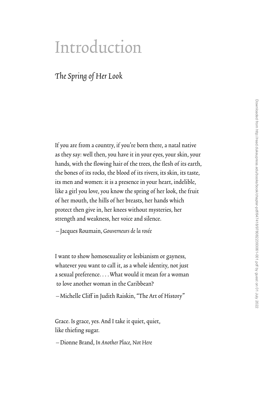# Downloaded from http://read.dukeupress.edu/books/book/chapter-pdf/647418/87828333081-001.pdf by guest on 01 July 2022 Downloaded from http://read.dukeupress.edu/books/book/chapter-pdf/647418/9780822393061-001.pdf by guest on 01 July 2022

# Introduction

# *The Spring of Her Look*

If you are from a country, if you're born there, a natal native as they say: well then, you have it in your eyes, your skin, your hands, with the flowing hair of the trees, the flesh of its earth, the bones of its rocks, the blood of its rivers, its skin, its taste, its men and women: it is a presence in your heart, indelible, like a girl you love, you know the spring of her look, the fruit of her mouth, the hills of her breasts, her hands which protect then give in, her knees without mysteries, her strength and weakness, her voice and silence.

—Jacques Roumain, *Gouverneurs de la rosée*

I want to show homosexuality or lesbianism or gayness, whatever you want to call it, as a whole identity, not just a sexual preference. . . . What would it mean for a woman to love another woman in the Caribbean?

—Michelle Cliff in Judith Raiskin, "The Art of History"

Grace. Is grace, yes. And I take it quiet, quiet, like thiefing sugar.

—Dionne Brand, *In Another Place, Not Here*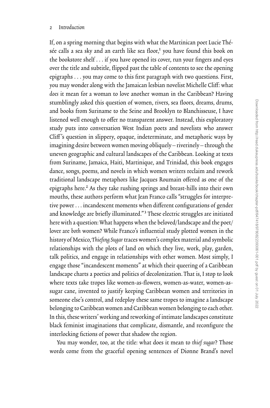If, on a spring morning that begins with what the Martinican poet Lucie Thésée calls a sea sky and an earth like sea floor,<sup>1</sup> you have found this book on the bookstore shelf . . . if you have opened its cover, run your fingers and eyes over the title and subtitle, flipped past the table of contents to see the opening epigraphs . . . you may come to this first paragraph with two questions. First, you may wonder along with the Jamaican lesbian novelist Michelle Cliff: what *does* it mean for a woman to love another woman in the Caribbean? Having stumblingly asked this question of women, rivers, sea floors, dreams, drums, and books from Suriname to the Seine and Brooklyn to Blanchisseuse, I have listened well enough to offer no transparent answer. Instead, this exploratory study puts into conversation West Indian poets and novelists who answer Cliff 's question in slippery, opaque, indeterminate, and metaphoric ways by imagining desire between women moving obliquely—riverinely—through the uneven geographic and cultural landscapes of the Caribbean. Looking at texts from Suriname, Jamaica, Haiti, Martinique, and Trinidad, this book engages dance, songs, poems, and novels in which women writers reclaim and rework traditional landscape metaphors like Jacques Roumain offered as one of the epigraphs here.<sup>2</sup> As they take rushing springs and breast-hills into their own mouths, these authors perform what Jean Franco calls "struggles for interpretive power . . . incandescent moments when different configurations of gender and knowledge are briefly illuminated."3 These electric struggles are initiated here with a question: What happens when the beloved/landscape and the poet/ lover are *both* women? While Franco's influential study plotted women in the history of Mexico, *Thiefing Sugar* traces women's complex material and symbolic relationships with the plots of land on which they live, work, play, garden, talk politics, and engage in relationships with other women. Most simply, I engage those "incandescent moments" at which their queering of a Caribbean landscape charts a poetics and politics of decolonization. That is, I stop to look where texts take tropes like women-as-flowers, women-as-water, women-as– sugar cane, invented to justify keeping Caribbean women and territories in someone else's control, and redeploy these same tropes to imagine a landscape belonging to Caribbean women and Caribbean women belonging to each other. In this, these writers' working and reworking of intimate landscapes constitute black feminist imaginations that complicate, dismantle, and reconfigure the interlocking fictions of power that shadow the region.

You may wonder, too, at the title: what does it mean to *thief sugar*? Those words come from the graceful opening sentences of Dionne Brand's novel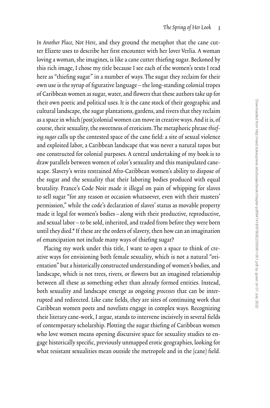*In Another Place, Not Here*, and they ground the metaphor that the cane cutter Elizete uses to describe her first encounter with her lover Verlia. A woman loving a woman, she imagines, is like a cane cutter thiefing sugar. Beckoned by this rich image, I chose my title because I see each of the women's texts I read here as "thiefing sugar" in a number of ways. The sugar they reclaim for their own use is the syrup of figurative language—the long-standing colonial tropes of Caribbean women as sugar, water, and flowers that these authors take up for their own poetic and political uses. It is the cane stock of their geographic and cultural landscape, the sugar plantations, gardens, and rivers that they reclaim as a space in which (post)colonial women can move in creative ways. And it is, of course, their sexuality, the sweetness of eroticism. The metaphoric phrase *thiefing sugar* calls up the contested space of the cane field: a site of sexual violence and exploited labor, a Caribbean landscape that was never a natural topos but one constructed for colonial purposes. A central undertaking of my book is to draw parallels between women of color's sexuality and this manipulated canescape. Slavery's writs restrained Afro-Caribbean women's ability to dispose of the sugar and the sexuality that their laboring bodies produced with equal brutality. France's Code Noir made it illegal on pain of whipping for slaves to sell sugar "for any reason or occasion whatsoever, even with their masters' permission," while the code's declaration of slaves' status as movable property made it legal for women's bodies—along with their productive, reproductive, and sexual labor—to be sold, inherited, and traded from before they were born until they died.4 If these are the orders of slavery, then how can an imagination of emancipation not include many ways of thiefing sugar?

Placing my work under this title, I want to open a space to think of creative ways for envisioning both female sexuality, which is not a natural "orientation" but a historically constructed understanding of women's bodies, and landscape, which is not trees, rivers, or flowers but an imagined relationship between all these as something other than already formed entities. Instead, both sexuality and landscape emerge as ongoing *processes* that can be interrupted and redirected. Like cane fields, they are sites of continuing work that Caribbean women poets and novelists engage in complex ways. Recognizing their literary cane-work, I argue, stands to intervene incisively in several fields of contemporary scholarship. Plotting the sugar thiefing of Caribbean women who love women means opening discursive space for sexuality studies to engage historically specific, previously unmapped erotic geographies, looking for what resistant sexualities mean outside the metropole and in the (cane) field.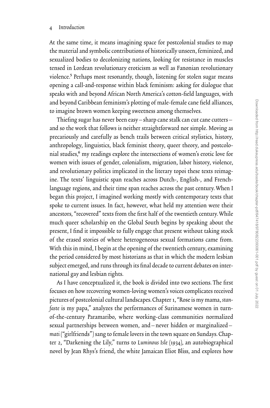At the same time, it means imagining space for postcolonial studies to map the material and symbolic contributions of historically unseen, feminized, and sexualized bodies to decolonizing nations, looking for resistance in muscles tensed in Lordean revolutionary eroticism as well as Fanonian revolutionary violence.<sup>5</sup> Perhaps most resonantly, though, listening for stolen sugar means opening a call-and-response within black feminism: asking for dialogue that speaks with and beyond African North America's cotton-field languages, with and beyond Caribbean feminism's plotting of male-female cane field alliances, to imagine brown women keeping sweetness among themselves.

Thiefing sugar has never been easy—sharp cane stalk can cut cane cutters and so the work that follows is neither straightforward nor simple. Moving as precariously and carefully as bench trails between critical stylistics, history, anthropology, linguistics, black feminist theory, queer theory, and postcolonial studies,<sup>6</sup> my readings explore the intersections of women's erotic love for women with issues of gender, colonialism, migration, labor history, violence, and revolutionary politics implicated in the literary topoi these texts reimagine. The texts' linguistic span reaches across Dutch-, English-, and Frenchlanguage regions, and their time span reaches across the past century. When I began this project, I imagined working mostly with contemporary texts that spoke to current issues. In fact, however, what held my attention were their ancestors, "recovered" texts from the first half of the twentieth century. While much queer scholarship on the Global South begins by speaking about the present, I find it impossible to fully engage that present without taking stock of the erased stories of where heterogeneous sexual formations came from. With this in mind, I begin at the opening of the twentieth century, examining the period considered by most historians as that in which the modern lesbian subject emerged, and runs through its final decade to current debates on international gay and lesbian rights.

As I have conceptualized it, the book is divided into two sections. The first focuses on how recovering women-loving women's voices complicates received pictures of postcolonial cultural landscapes. Chapter 1, "Rose is my mama, *stanfaste* is my papa," analyzes the performances of Surinamese women in turnof-the-century Paramaribo, where working-class communities normalized sexual partnerships between women, and—never hidden or marginalized *mati* ("girlfriends") sang to female lovers in the town square on Sundays. Chapter 2, "Darkening the Lily," turns to *Luminous Isle* (1934), an autobiographical novel by Jean Rhys's friend, the white Jamaican Eliot Bliss, and explores how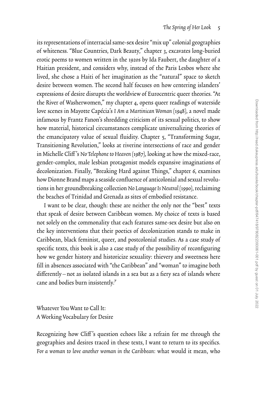its representations of interracial same-sex desire "mix up" colonial geographies of whiteness. "Blue Countries, Dark Beauty," chapter 3, excavates long-buried erotic poems to women written in the 1920s by Ida Faubert, the daughter of a Haitian president, and considers why, instead of the Paris Lesbos where she lived, she chose a Haiti of her imagination as the "natural" space to sketch desire between women. The second half focuses on how centering islanders' expressions of desire disrupts the worldview of Eurocentric queer theories. "At the River of Washerwomen," my chapter 4, opens queer readings of waterside love scenes in Mayotte Capécia's *I Am a Martinican Woman* (1948), a novel made infamous by Frantz Fanon's shredding criticism of its sexual politics, to show how material, historical circumstances complicate universalizing theories of the emancipatory value of sexual fluidity. Chapter 5, "Transforming Sugar, Transitioning Revolution," looks at riverine intersections of race and gender in Michelle Cliff 's *No Telephone to Heaven* (1987), looking at how the mixed-race, gender-complex, male lesbian protagonist models expansive imaginations of decolonization. Finally, "Breaking Hard against Things," chapter 6, examines how Dionne Brand maps a seaside confluence of anticolonial and sexual revolutions in her groundbreaking collection *No Language Is Neutral* (1990), reclaiming the beaches of Trinidad and Grenada as sites of embodied resistance.

I want to be clear, though: these are neither the only nor the "best" texts that speak of desire between Caribbean women. My choice of texts is based not solely on the commonality that each features same-sex desire but also on the key interventions that their poetics of decolonization stands to make in Caribbean, black feminist, queer, and postcolonial studies. As a case study of specific texts, this book is also a case study of the possibility of reconfiguring how we gender history and historicize sexuality: thievery and sweetness here fill in absences associated with "the Caribbean" and "woman" to imagine both differently—not as isolated islands in a sea but as a fiery sea of islands where cane and bodies burn insistently.7

Whatever You Want to Call It: A Working Vocabulary for Desire

Recognizing how Cliff 's question echoes like a refrain for me through the geographies and desires traced in these texts, I want to return to its specifics. *For a woman to love another woman in the Caribbean*: what would it mean, who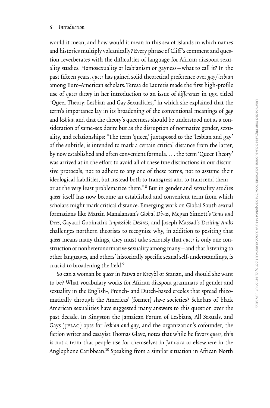would it mean, and how would it mean in this sea of islands in which names and histories multiply volcanically? Every phrase of Cliff 's comment and question reverberates with the difficulties of language for African diaspora sexuality studies. Homosexuality or lesbianism or gayness—what to call it? In the past fifteen years, *queer* has gained solid theoretical preference over *gay/ lesbian* among Euro-American scholars. Teresa de Lauretis made the first high-profile use of *queer theory* in her introduction to an issue of *differences* in 1991 titled "Queer Theory: Lesbian and Gay Sexualities," in which she explained that the term's importance lay in its broadening of the conventional meanings of *gay* and *lesbian* and that the theory's queerness should be understood not as a consideration of same-sex desire but as the disruption of normative gender, sexuality, and relationships: "The term 'queer,' juxtaposed to the 'lesbian and gay' of the subtitle, is intended to mark a certain critical distance from the latter, by now established and often convenient formula. . . . the term 'Queer Theory' was arrived at in the effort to avoid all of these fine distinctions in our discursive protocols, not to adhere to any one of these terms, not to assume their ideological liabilities, but instead both to transgress and to transcend them or at the very least problematize them."8 But in gender and sexuality studies *queer* itself has now become an established and convenient term from which scholars might mark critical distance. Emerging work on Global South sexual formations like Martin Manalansan's *Global Divas*, Megan Sinnott's *Toms and Dees*, Gayatri Gopinath's *Impossible Desires*, and Joseph Massad's *Desiring Arabs* challenges northern theorists to recognize why, in addition to positing that *queer* means many things, they must take seriously that *queer* is only one construction of nonheteronormative sexuality among many—and that listening to other languages, and others' historically specific sexual self-understandings, is crucial to broadening the field.9

So can a woman be *queer* in Patwa or Kreyòl or Sranan, and should she want to be? What vocabulary works for African diaspora grammars of gender and sexuality in the English-, French- and Dutch-based creoles that spread rhizomatically through the Americas' (former) slave societies? Scholars of black American sexualities have suggested many answers to this question over the past decade. In Kingston the Jamaican Forum of Lesbians, All Sexuals, and Gays (JFLAG) opts for *lesbian and gay*, and the organization's cofounder, the fiction writer and essayist Thomas Glave, notes that while he favors *queer*, this is not a term that people use for themselves in Jamaica or elsewhere in the Anglophone Caribbean.<sup>10</sup> Speaking from a similar situation in African North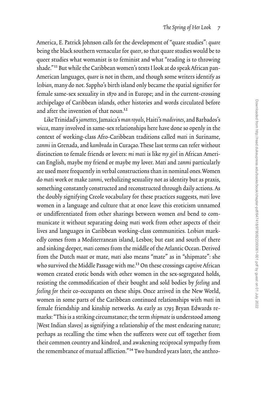America, E. Patrick Johnson calls for the development of "quare studies": *quare* being the black southern vernacular for *queer*, so that quare studies would be to queer studies what womanist is to feminist and what "reading is to throwing shade."11 But while the Caribbean women's texts I look at do speak African pan-American languages, *quare* is not in them, and though some writers identify as *lesbian*, many do not. Sappho's birth island only became the spatial signifier for female same-sex sexuality in 1870 and in Europe; and in the current-crossing archipelago of Caribbean islands, other histories and words circulated before and after the invention of that noun.<sup>12</sup>

Like Trinidad's *jamettes*, Jamaica's *man royals*, Haiti's *madivines*, and Barbados's *wicca*, many involved in same-sex relationships here have done so openly in the context of working-class Afro-Caribbean traditions called *mati* in Suriname, *zanmi* in Grenada, and *kambrada* in Curaçao. These last terms can refer without distinction to female friends or lovers: *mi mati* is like *my girl* in African American English, maybe my friend or maybe my lover. *Mati* and *zanmi* particularly are used more frequently in verbal constructions than in nominal ones. Women do *mati* work or make *zanmi*, verbalizing sexuality not as identity but as praxis, something constantly constructed and reconstructed through daily actions. As the doubly signifying Creole vocabulary for these practices suggests, *mati* love women in a language and culture that at once leave this eroticism unnamed or undifferentiated from other sharings between women *and* bend to communicate it without separating doing *mati* work from other aspects of their lives and languages in Caribbean working-class communities. *Lesbian* markedly comes from a Mediterranean island, Lesbos; but east and south of there and sinking deeper, *mati* comes from the middle of the Atlantic Ocean. Derived from the Dutch *maat* or mate*, mati* also means "mate" as in "shipmate": she who survived the Middle Passage with me.<sup>13</sup> On these crossings captive African women created erotic bonds with other women in the sex-segregated holds, resisting the commodification of their bought and sold bodies by *feeling* and *feeling for* their co-occupants on these ships. Once arrived in the New World, women in some parts of the Caribbean continued relationships with *mati* in female friendship and kinship networks. As early as 1793 Bryan Edwards remarks: "This is a striking circumstance; the term *shipmate* is understood among [West Indian slaves] as signifying a relationship of the most endearing nature; perhaps as recalling the time when the sufferers were cut off together from their common country and kindred, and awakening reciprocal sympathy from the remembrance of mutual affliction."<sup>14</sup> Two hundred years later, the anthro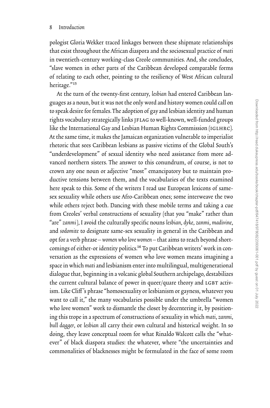pologist Gloria Wekker traced linkages between these shipmate relationships that exist throughout the African diaspora and the sociosexual practice of *mati* in twentieth-century working-class Creole communities. And, she concludes, "slave women in other parts of the Caribbean developed comparable forms of relating to each other, pointing to the resiliency of West African cultural heritage."15

At the turn of the twenty-first century, *lesbian* had entered Caribbean languages as a noun, but it was not the only word and history women could call on to speak desire for females. The adoption of gay and lesbian identity and human rights vocabulary strategically links JFLAG to well-known, well-funded groups like the International Gay and Lesbian Human Rights Commission (IGLHRC). At the same time, it makes the Jamaican organization vulnerable to imperialist rhetoric that sees Caribbean lesbians as passive victims of the Global South's "underdevelopment" of sexual identity who need assistance from more advanced northern sisters. The answer to this conundrum, of course, is not to crown any one noun or adjective "most" emancipatory but to maintain productive tensions between them, and the vocabularies of the texts examined here speak to this. Some of the writers I read use European lexicons of samesex sexuality while others use Afro-Caribbean ones; some interweave the two while others reject both. Dancing with these mobile terms and taking a cue from Creoles' verbal constructions of sexuality (that you "make" rather than "are" *zanmi*), I avoid the culturally specific nouns *lesbian*, *dyke*, *zanmi*, *madivine*, and *sodomite* to designate same-sex sexuality in general in the Caribbean and opt for a verb phrase—*women who love women*—that aims to reach beyond shortcomings of either-or identity politics.16 To put Caribbean writers' work in conversation as the expressions of women who love women means imagining a space in which *mati* and lesbianism enter into multilingual, multigenerational dialogue that, beginning in a volcanic global Southern archipelago, destabilizes the current cultural balance of power in queer/quare theory and LGBT activism. Like Cliff 's phrase "homosexuality or lesbianism or gayness, whatever you want to call it," the many vocabularies possible under the umbrella "women who love women" work to dismantle the closet by decentering it, by positioning this trope in a spectrum of constructions of sexuality in which *mati*, *zanmi*, *bull dagger*, or *lesbian* all carry their own cultural and historical weight. In so doing, they leave conceptual room for what Rinaldo Walcott calls the "whatever" of black diaspora studies: the whatever, where "the uncertainties and commonalities of blacknesses might be formulated in the face of some room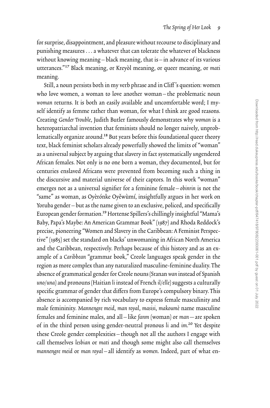for surprise, disappointment, and pleasure without recourse to disciplinary and punishing measures . . . a whatever that can tolerate the whatever of blackness without knowing meaning—black meaning, that is—in advance of its various utterances."17 Black meaning, or Kreyòl meaning, or queer meaning, or *mati* meaning.

Still, a noun persists both in my verb phrase and in Cliff 's question: women who love women, a woman to love another woman—the problematic noun *woman* returns. It is both an easily available and uncomfortable word; I myself identify as femme rather than woman, for what I think are good reasons. Creating *Gender Trouble*, Judith Butler famously demonstrates why *woman* is a heteropatriarchal invention that feminists should no longer naively, unproblematically organize around.<sup>18</sup> But years before this foundational queer theory text, black feminist scholars already powerfully showed the limits of "woman" as a universal subject by arguing that slavery in fact systematically *un*gendered African females. Not only is no one born a woman, they documented, but for centuries enslaved Africans were prevented from becoming such a thing in the discursive and material universe of their captors. In this work "woman" emerges not as a universal signifier for a feminine female—*obinrin* is not the "same" as woman, as Oyèrónke Oyěwùmí, insightfully argues in her work on Yoruba gender—but as the name given to an exclusive, policed, and specifically European gender formation.19 Hortense Spillers's chillingly insightful "Mama's Baby, Papa's Maybe: An American Grammar Book" (1987) and Rhoda Reddock's precise, pioneering "Women and Slavery in the Caribbean: A Feminist Perspective" (1985) set the standard on blacks' unwomaning in African North America and the Caribbean, respectively. Perhaps because of this history and as an example of a *Caribbean* "grammar book," Creole languages speak gender in the region as more complex than any naturalized masculine-feminine duality. The absence of grammatical gender for Creole nouns (Sranan *wan* instead of Spanish *uno*/*una*) and pronouns (Haitian *li* instead of French *il*/*elle*) suggests a culturally specific grammar of gender that differs from Europe's compulsory binary. This absence is accompanied by rich vocabulary to express female masculinity and male femininity. *Mannengre meid*, *man royal*, *masisi*, *makoumè* name masculine females and feminine males, and all—like *fanm* (woman) or *man—*are spoken of in the third person using gender-neutral pronous *li* and *im*.20 Yet despite these Creole gender complexities—though not all the authors I engage with call themselves *lesbian* or *mati* and though some might also call themselves *mannengre meid* or *man royal*—all identify as *women*. Indeed, part of what en-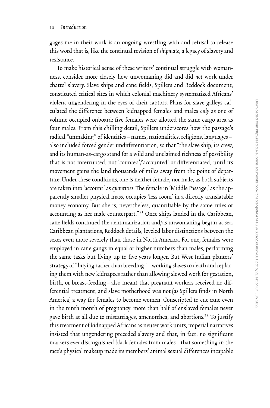gages me in their work is an ongoing wrestling with and refusal to release this word that is, like the continual revision of *shipmate*, a legacy of slavery and resistance.

To make historical sense of these writers' continual struggle with womanness, consider more closely how unwomaning did and did *not* work under chattel slavery. Slave ships and cane fields, Spillers and Reddock document, constituted critical sites in which colonial machinery systematized Africans' violent ungendering in the eyes of their captors. Plans for slave galleys calculated the difference between kidnapped females and males *only* as one of volume occupied onboard: five females were allotted the same cargo area as four males. From this chilling detail, Spillers underscores how the passage's radical "unmaking" of identities—names, nationalities, religions, languages also included forced gender undifferentiation, so that "the slave ship, its crew, and its human-as-cargo stand for a wild and unclaimed richness of possibility that is not interrupted, not 'counted'/'accounted' or differentiated, until its movement gains the land thousands of miles away from the point of departure. Under these conditions, one is neither female, nor male, as both subjects are taken into 'account' as *quantities.* The female in 'Middle Passage,' as the apparently smaller physical mass, occupies 'less room' in a directly translatable money economy. But she is, nevertheless, quantifiable by the same rules of accounting as her male counterpart."21 Once ships landed in the Caribbean, cane fields continued the dehumanization and/as unwomaning begun at sea. Caribbean plantations, Reddock details, leveled labor distinctions between the sexes even more severely than those in North America. For one, females were employed in cane gangs in equal or higher numbers than males, performing the same tasks but living up to five years longer. But West Indian planters' strategy of "buying rather than breeding"—working slaves to death and replacing them with new kidnapees rather than allowing slowed work for gestation, birth, or breast-feeding—also meant that pregnant workers received no differential treatment, and slave motherhood was not (as Spillers finds in North America) a way for females to become women. Conscripted to cut cane even in the ninth month of pregnancy, more than half of enslaved females never gave birth at all due to miscarriages, amenorrhea, and abortions.<sup>22</sup> To justify this treatment of kidnapped Africans as neuter work units, imperial narratives insisted that ungendering preceded slavery and that, in fact, no significant markers ever distinguished black females from males—that something in the race's physical makeup made its members' animal sexual differences incapable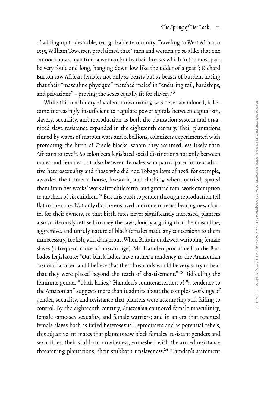of adding up to desirable, recognizable femininity. Traveling to West Africa in 1555, William Towerson proclaimed that "men and women go so alike that one cannot know a man from a woman but by their breasts which in the most part be very foule and long, hanging down low like the udder of a goat"; Richard Burton saw African females not only as beasts but as beasts of burden, noting that their "masculine physique" matched males' in "enduring toil, hardships, and privations" – proving the sexes equally fit for slavery.<sup>23</sup>

While this machinery of violent unwomaning was never abandoned, it became increasingly insufficient to regulate power spirals between capitalism, slavery, sexuality, and reproduction as both the plantation system and organized slave resistance expanded in the eighteenth century. Their plantations ringed by waves of maroon wars and rebellions, colonizers experimented with promoting the birth of Creole blacks, whom they assumed less likely than Africans to revolt. So colonizers legislated social distinctions not only between males and females but also between females who participated in reproductive heterosexuality and those who did not. Tobago laws of 1798, for example, awarded the former a house, livestock, and clothing when married, spared them from five weeks' work after childbirth, and granted total work exemption to mothers of six children.<sup>24</sup> But this push to gender through reproduction fell flat in the cane. Not only did the enslaved continue to resist bearing new chattel for their owners, so that birth rates never significantly increased, planters also vociferously refused to obey the laws, loudly arguing that the masculine, aggressive, and unruly nature of black females made any concessions to them unnecessary, foolish, and dangerous. When Britain outlawed whipping female slaves (a frequent cause of miscarriage), Mr. Hamden proclaimed to the Barbados legislature: "Our black ladies have rather a tendency to the Amazonian cast of character; and I believe that their husbands would be very sorry to hear that they were placed beyond the reach of chastisement."<sup>25</sup> Ridiculing the feminine gender "black ladies," Hamden's counterassertion of "a tendency to the Amazonian" suggests more than it admits about the complex workings of gender, sexuality, and resistance that planters were attempting and failing to control. By the eighteenth century, *Amazonian* connoted female masculinity, female same-sex sexuality, and female warriors; and in an era that resented female slaves both as failed heterosexual reproducers and as potential rebels, this adjective intimates that planters saw black females' resistant genders and sexualities, their stubborn unwifeness, enmeshed with the armed resistance threatening plantations, their stubborn unslaveness.26 Hamden's statement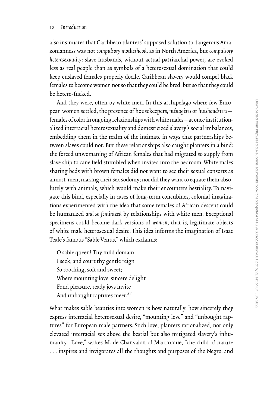also insinuates that Caribbean planters' supposed solution to dangerous Amazonianness was not *compulsory motherhood*, as in North America, but *compulsory heterosexuality*: slave husbands, without actual patriarchal power, are evoked less as real people than as symbols of a heterosexual domination that could keep enslaved females properly docile. Caribbean slavery would compel black females to become women not so that they could be bred, but so that they could be hetero-fucked.

And they were, often by white men. In this archipelago where few European women settled, the presence of housekeepers, *ménagères* or *huishoudsters* females of color in ongoing relationships with white males—at once institutionalized interracial heterosexuality and domesticized slavery's social imbalances, embedding them in the realm of the intimate in ways that partnerships between slaves could not. But these relationships also caught planters in a bind: the forced unwomaning of African females that had migrated so supply from slave ship to cane field stumbled when invited into the bedroom. White males sharing beds with brown females did not want to see their sexual consorts as almost-men, making their sex sodomy; nor did they want to equate them absolutely with animals, which would make their encounters bestiality. To navigate this bind, especially in cases of long-term concubines, colonial imaginations experimented with the idea that some females of African descent could be humanized *and so feminized* by relationships with white men. Exceptional specimens could become dark versions of *women*, that is, legitimate objects of white male heterosexual desire. This idea informs the imagination of Isaac Teale's famous "Sable Venus," which exclaims:

O sable queen! Thy mild domain I seek, and court thy gentle reign So soothing, soft and sweet; Where mounting love, sincere delight Fond pleasure, ready joys invite And unbought raptures meet.<sup>27</sup>

What makes sable beauties into women is how naturally, how sincerely they express interracial heterosexual desire, "mounting love" and "unbought raptures" for European male partners. Such love, planters rationalized, not only elevated interracial sex above the bestial but also mitigated slavery's inhumanity. "Love," writes M. de Chanvalon of Martinique, "the child of nature . . . inspires and invigorates all the thoughts and purposes of the Negro, and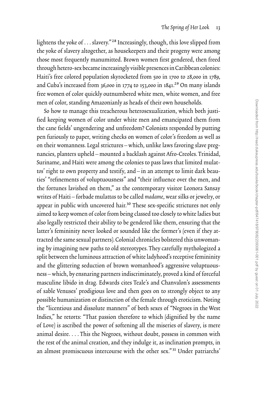lightens the yoke of . . . slavery."28 Increasingly, though, this love slipped from the yoke of slavery altogether, as housekeepers and their progeny were among those most frequently manumitted. Brown women first gendered, then freed through hetero-sex became increasingly visible presences in Caribbean colonies: Haiti's free colored population skyrocketed from 500 in 1700 to 28,000 in 1789, and Cuba's increased from 36,000 in 1774 to 153,000 in  $1841.<sup>29</sup>$  On many islands free women of color quickly outnumbered white men, white women, and free men of color, standing Amazonianly as heads of their own households.

So how to manage this treacherous heterosexualization, which both justified keeping women of color under white men and emancipated them from the cane fields' ungendering and unfreedom? Colonists responded by putting pen furiously to paper, writing checks on women of color's freedom as well as on their womanness. Legal strictures—which, unlike laws favoring slave pregnancies, planters upheld—mounted a backlash against Afro-Creoles. Trinidad, Suriname, and Haiti were among the colonies to pass laws that limited mulatt*o*s' right to own property and testify, and—in an attempt to limit dark beauties' "refinements of voluptuousness" and "their influence over the men, and the fortunes lavished on them," as the contemporary visitor Leonora Sansay writes of Haiti—forbade mulatt*a*s to be called *madame*, wear silks or jewelry, or appear in public with uncovered hair.<sup>30</sup> These sex-specific strictures not only aimed to keep women of color from being classed too closely to white ladies but also legally restricted their ability to be gendered like them, ensuring that the latter's femininity never looked or sounded like the former's (even if they attracted the same sexual partners). Colonial chronicles bolstered this unwomaning by imagining new paths to old stereotypes. They carefully mythologized a split between the luminous attraction of white ladyhood's receptive femininity and the glittering seduction of brown womanhood's aggressive voluptuousness—which, by ensnaring partners indiscriminately, proved a kind of forceful masculine libido in drag. Edwards cites Teale's and Chanvalon's assessments of sable Venuses' prodigious love and then goes on to strongly object to any possible humanization or distinction of the female through eroticism. Noting the "licentious and dissolute manners" of both sexes of "Negroes in the West Indies," he retorts: "That passion therefore to which (dignified by the name of Love) is ascribed the power of softening all the miseries of slavery, is mere animal desire. . . . This the Negroes, without doubt, possess in common with the rest of the animal creation, and they indulge it, as inclination prompts, in an almost promiscuous intercourse with the other sex."31 Under patriarchs'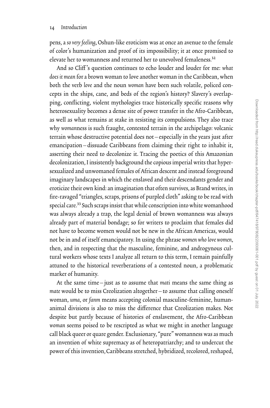pens, a *so very feeling*, Oshun-like eroticism was at once an avenue to the female of color's humanization and proof of its impossibility; it at once promised to elevate her to womanness and returned her to unevolved femaleness.<sup>32</sup>

And so Cliff 's question continues to echo louder and louder for me: *what does it mean* for a brown woman to love another woman in the Caribbean, when both the verb *love* and the noun *woman* have been such volatile, policed concepts in the ships, cane, and beds of the region's history? Slavery's overlapping, conflicting, violent mythologies trace historically specific reasons why heterosexuality becomes a dense site of power transfer in the Afro-Caribbean, as well as what remains at stake in resisting its compulsions. They also trace why *woman*ness is such fraught, contested terrain in the archipelago: volcanic terrain whose destructive potential does not—especially in the years just after emancipation—dissuade Caribbeans from claiming their right to inhabit it, asserting their need to decolonize it. Tracing the poetics of this Amazonian decolonization, I insistently background the copious imperial writs that hypersexualized and unwomaned females of African descent and instead foreground imaginary landscapes in which the enslaved and their descendants gender and eroticize their own kind: an imagination that often survives, as Brand writes, in fire-ravaged "triangles, scraps, prisons of purpled cloth" asking to be read with special care.<sup>33</sup> Such scraps insist that while conscription into white womanhood was always already a trap, the legal denial of brown womanness was always already part of material bondage; so for writers to proclaim that females did not have to become women would not be new in the African Americas, would not be in and of itself emancipatory. In using the phrase *women who love women*, then, and in respecting that the masculine, feminine, and androgynous cultural workers whose texts I analyze all return to this term, I remain painfully attuned to the historical reverberations of a contested noun, a problematic marker of humanity.

At the same time—just as to assume that *mati* means the same thing as *mate* would be to miss Creolization altogether—to assume that calling oneself woman, *uma*, or *fanm* means accepting colonial masculine-feminine, humananimal divisions is also to miss the difference that Creolization makes. Not despite but partly because of histories of enslavement, the Afro-Caribbean *woman* seems poised to be rescripted as what we might in another language call black queer or quare gender. Exclusionary, "pure" womanness was as much an invention of white supremacy as of heteropatriarchy; and to undercut the power of this invention, Caribbeans stretched, hybridized, recolored, reshaped,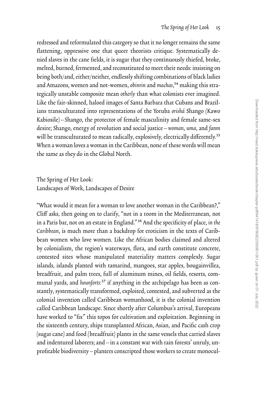redressed and reformulated this category so that it no longer remains the same flattening, oppressive one that queer theorists critique. Systematically denied slaves in the cane fields, it is sugar that they continuously thiefed, broke, melted, burned, fermented, and reconstituted to meet their needs: insisting on being both/and, either/neither, endlessly shifting combinations of black ladies and Amazons, women and not-women, *obinrin* and *machas*,34 making this strategically unstable composite mean *otherly* than what colonists ever imagined. Like the fair-skinned, haloed images of Santa Barbara that Cubans and Brazilians transculturated into representations of the Yoruba *orishá* Shango (Kawo Kabiosile)—Shango, the protector of female masculinity and female same-sex desire; Shango, energy of revolution and social justice—*woman*, *uma*, and *fanm* will be transculturated to mean radically, explosively, electrically differently.<sup>35</sup> When a woman loves a woman in the Caribbean, none of these words will mean the same as they do in the Global North.

### The Spring of Her Look: Landscapes of Work, Landscapes of Desire

"What would it mean for a woman to love another woman in the Caribbean?," Cliff asks, then going on to clarify, "not in a room in the Mediterranean, not in a Paris bar, not on an estate in England."36 And the specificity of place, *in the Caribbean*, is much more than a backdrop for eroticism in the texts of Caribbean women who love women. Like the African bodies claimed and altered by colonialism, the region's waterways, flora, and earth constitute concrete, contested sites whose manipulated materiality matters complexly. Sugar islands, islands planted with tamarind, mangoes, star apples, bougainvillea, breadfruit, and palm trees, full of aluminum mines, oil fields, resorts, communal yards, and *hounforts:*37 if anything in the archipelago has been as constantly, systematically transformed, exploited, contested, and subverted as the colonial invention called Caribbean womanhood, it is the colonial invention called Caribbean landscape. Since shortly after Columbus's arrival, Europeans have worked to "fix" this topos for cultivation and exploitation. Beginning in the sixteenth century, ships transplanted African, Asian, and Pacific cash crop (sugar cane) and food (breadfruit) plants in the same vessels that carried slaves and indentured laborers; and—in a constant war with rain forests' unruly, unprofitable biodiversity—planters conscripted those workers to create monocul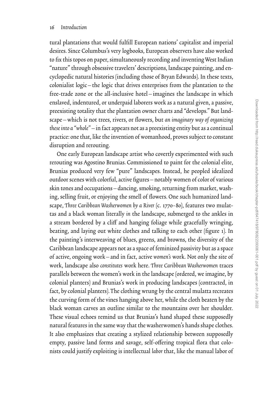tural plantations that would fulfill European nations' capitalist and imperial desires. Since Columbus's very logbooks, European observers have also worked to fix this topos on paper, simultaneously recording and inventing West Indian "nature" through obsessive travelers' descriptions, landscape painting, and encyclopedic natural histories (including those of Bryan Edwards). In these texts, colonialist logic—the logic that drives enterprises from the plantation to the free-trade zone or the all-inclusive hotel—imagines the landscape in which enslaved, indentured, or underpaid laborers work as a natural given, a passive, preexisting totality that the plantation owner charts and "develops." But landscape—which is not trees, rivers, or flowers, but *an imaginary way of organizing these into a "whole"*—in fact appears not as a preexisting entity but as a continual practice: one that, like the invention of womanhood, proves subject to constant disruption and rerouting.

One early European landscape artist who covertly experimented with such rerouting was Agostino Brunias. Commissioned to paint for the colonial elite, Brunias produced very few "pure" landscapes. Instead, he peopled idealized outdoor scenes with colorful, active figures—notably women of color of various skin tones and occupations—dancing, smoking, returning from market, washing, selling fruit, or enjoying the smell of flowers. One such humanized landscape, *Three Caribbean Washerwomen by a River* (c. 1770–80), features two mulattas and a black woman literally *in* the landscape, submerged to the ankles in a stream bordered by a cliff and hanging foliage while gracefully wringing, beating, and laying out white clothes and talking to each other (figure 1). In the painting's interweaving of blues, greens, and browns, the diversity of the Caribbean landscape appears not as a space of feminized passivity but as a space of active, ongoing work—and in fact, active *women's* work. Not only the site of work, landscape also *constitutes* work here. *Three Caribbean Washerwomen* traces parallels between the women's work in the landscape (ordered, we imagine, by colonial planters) and Brunias's work in producing landscapes (contracted, in fact, by colonial planters). The clothing wrung by the central mulatta recreates the curving form of the vines hanging above her, while the cloth beaten by the black woman carves an outline similar to the mountains over her shoulder. These visual echoes remind us that Brunias's hand shaped these supposedly natural features in the same way that the washerwomen's hands shape clothes. It also emphasizes that creating a stylized relationship between supposedly empty, passive land forms and savage, self-offering tropical flora that colonists could justify exploiting is intellectual *labor* that, like the manual labor of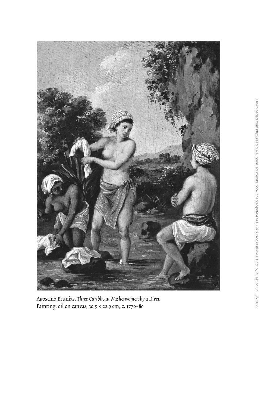

Agostino Brunias, *Three Caribbean Washerwomen by a River.* Painting, oil on canvas, 30.5 × 22.9 cm, c. 1770–80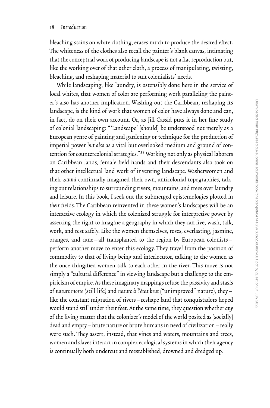bleaching stains on white clothing, erases much to produce the desired effect. The whiteness of the clothes also recall the painter's blank canvas, intimating that the conceptual work of producing landscape is not a flat reproduction but, like the working over of that other cloth, a process of manipulating, twisting, bleaching, and reshaping material to suit colonialists' needs.

While landscaping, like laundry, is ostensibly done here in the service of local whites, that women of color are performing work paralleling the painter's also has another implication. Washing out the Caribbean, reshaping its landscape, is the kind of work that women of color have always done and can, in fact, do on their own account. Or, as Jill Cassid puts it in her fine study of colonial landscaping: " 'Landscape' [should] be understood not merely as a European genre of painting and gardening or technique for the production of imperial power *but also* as a vital but overlooked medium and ground of contention for countercolonial strategies."38 Working not only as physical laborers on Caribbean lands, female field hands and their descendants also took on that other intellectual land work of inventing landscape. Washerwomen and their *zanmi* continually imagined their own, anticolonial topographies, talking out relationships to surrounding rivers, mountains, and trees over laundry and leisure. In this book, I seek out the submerged epistemologies plotted in *their* fields. The Caribbean reinvented in these women's landscapes will be an interactive ecology in which the colonized struggle for interpretive power by asserting the right to imagine a geography in which they can live, wash, talk, work, and rest safely. Like the women themselves, roses, everlasting, jasmine, oranges, and cane—all transplanted to the region by European colonists perform another move to enter this ecology. They travel from the position of commodity to that of living being and interlocutor, talking to the women as the once thingified women talk to each other in the river. This move is not simply a "cultural difference" in viewing landscape but a challenge to the empiricism of empire. As these imaginary mappings refuse the passivity and stasis of *nature morte* (still life) and *nature à l'état brut* ("unimproved" nature), they like the constant migration of rivers—reshape land that conquistadors hoped would stand still under their feet. At the same time, they question whether *any* of the living matter that the colonizer's model of the world posited as (socially) dead and empty—brute nature or brute humans in need of civilization—really were such. They assert, instead, that vines and waters, mountains and trees, women and slaves interact in complex ecological systems in which their agency is continually both undercut and reestablished, drowned and dredged up.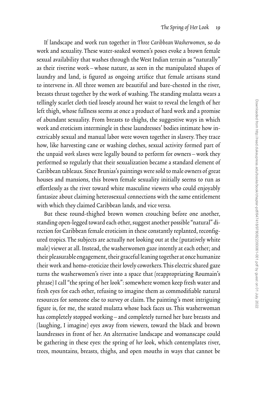If landscape and work run together in *Three Caribbean Washerwomen*, so do work and sexuality. These water-soaked women's poses evoke a brown female sexual availability that washes through the West Indian terrain as "naturally" as their riverine work—whose nature, as seen in the manipulated shapes of laundry and land, is figured as ongoing artifice that female artisans stand to intervene in. All three women are beautiful and bare-chested in the river, breasts thrust together by the work of washing. The standing mulatta wears a tellingly scarlet cloth tied loosely around her waist to reveal the length of her left thigh, whose fullness seems at once a product of hard work and a promise of abundant sexuality. From breasts to thighs, the suggestive ways in which work and eroticism intermingle in these laundresses' bodies intimate how inextricably sexual and manual labor were woven together in slavery. They trace how, like harvesting cane or washing clothes, sexual activity formed part of the unpaid *work* slaves were legally bound to perform for owners—work they performed so regularly that their sexualization became a standard element of Caribbean tableaux. Since Brunias's paintings were sold to male owners of great houses and mansions, this brown female sexuality initially seems to run as effortlessly as the river toward white masculine viewers who could enjoyably fantasize about claiming heterosexual connections with the same entitlement with which they claimed Caribbean lands, and vice versa.

But these round-thighed brown women crouching before one another, standing open-legged toward each other, suggest another possible "natural" direction for Caribbean female eroticism in these constantly replanted, reconfigured tropics. The subjects are actually not looking out at the (putatively white male) viewer at all. Instead, the washerwomen gaze intently at each other; and their pleasurable engagement, their graceful leaning together at once humanize their work and homo-eroticize their lovely coworkers. This electric shared gaze turns the washerwomen's river into a space that (reappropriating Roumain's phrase) I call "the spring of her look": somewhere women keep fresh water and fresh eyes for each other, refusing to imagine them as commodifiable natural resources for someone else to survey or claim. The painting's most intriguing figure is, for me, the seated mulatta whose back faces us. This washerwoman has completely stopped working—and completely turned her bare breasts and (laughing, I imagine) eyes away from viewers, toward the black and brown laundresses in front of her. An alternative landscape and womanscape could be gathering in these eyes: the spring of *her* look, which contemplates river, trees, mountains, breasts, thighs, and open mouths in ways that cannot be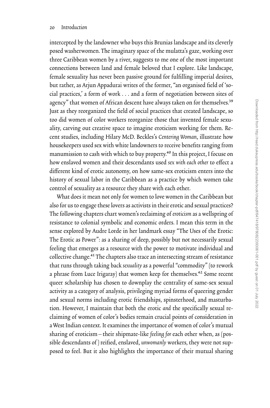intercepted by the landowner who buys this Brunias landscape and its cleverly posed washerwomen. The imaginary space of the mulatta's gaze, working over three Caribbean women by a river, suggests to me one of the most important connections between land and female beloved that I explore. Like landscape, female sexuality has never been passive ground for fulfilling imperial desires, but rather, as Arjun Appadurai writes of the former, "an organised field of 'social practices,' a form of work . . . and a form of negotiation between sites of agency" that women of African descent have always taken on for themselves.<sup>39</sup> Just as they reorganized the field of social practices that created landscape, so too did women of color workers reorganize those that invented female sexuality, carving out creative space to imagine eroticism working for them. Recent studies, including Hilary McD. Beckles's *Centering Woman*, illustrate how housekeepers used sex with white landowners to receive benefits ranging from manumission to cash with which to buy property.40 In this project, I focuse on how enslaved women and their descendants used *sex with each other* to effect a different kind of erotic autonomy, on how same-sex eroticism enters into the history of sexual labor in the Caribbean as a practice by which women take control of sexuality as a resource they share with each other.

What does it mean not only for women to love women in the Caribbean but also for us to engage these lovers as activists in their erotic and sexual practices? The following chapters chart women's reclaiming of *eroticism* as a wellspring of resistance to colonial symbolic and economic orders. I mean this term in the sense explored by Audre Lorde in her landmark essay "The Uses of the Erotic: The Erotic as Power": as a sharing of deep, possibly but not necessarily sexual feeling that emerges as a resource with the power to motivate individual and collective change.41 The chapters also trace an intersecting stream of resistance that runs through taking back *sexuality* as a powerful "commodity" (to rework a phrase from Luce Irigaray) that women keep for themselves.<sup>42</sup> Some recent queer scholarship has chosen to downplay the centrality of same-sex sexual activity as a category of analysis, privileging myriad forms of queering gender and sexual norms including erotic friendships, spinsterhood, and masturbation. However, I maintain that both the erotic *and* the specifically sexual reclaiming of women of color's bodies remain crucial points of consideration in a West Indian context. It examines the importance of women of color's mutual sharing of eroticism—their shipmate-like *feeling for* each other when, as (possible descendants of ) reified, enslaved, *unwomanly* workers, they were not supposed to feel. But it also highlights the importance of their mutual sharing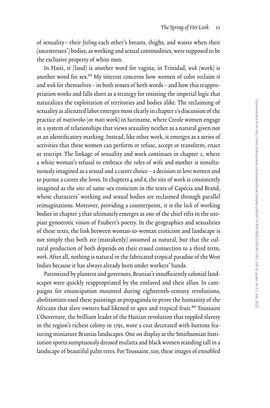of sexuality—their *feeling* each other's breasts, thighs, and waists when their (ancestresses') bodies, as working and sexual commodities, were supposed to be the exclusive property of white men.

In Haiti, *tè* (land) is another word for vagina; in Trinidad, *wuk* (work) is another word for sex.43 My interest concerns how women of color reclaim *tè* and *wuk* for themselves—in both senses of both words—and how this reappropriation works and falls short as a strategy for resisting the imperial logic that naturalizes the exploitation of territories and bodies alike. The reclaiming of sexuality as alienated labor emerges most clearly in chapter 1's discussion of the practice of *matiwroko* (or *mati* work) in Suriname, where Creole women engage in a system of relationships that views sexuality neither as a natural given nor as an identificatory marking. Instead, like other work, it emerges as a series of activities that these women can perform or refuse, accept or transform, enact or rescript. The linkage of sexuality and work continues in chapter 2, where a white woman's refusal to embrace the roles of wife and mother is simultaneously imagined as a sexual and a career choice—a decision to love women and to pursue a career she loves. In chapters 4 and 6, the site of work is consistently imagined as the site of same-sex eroticism in the texts of Capécia and Brand, whose characters' working and sexual bodies are reclaimed through parallel reimaginations. Moreover, providing a counterpoint, it is the *lack* of working bodies in chapter 3 that ultimately emerges as one of the chief rifts in the utopian gynoerotic vision of Faubert's poetry. In the geographies and sexualities of these texts, the link between woman-to-woman eroticism and landscape is not simply that both are (mistakenly) assumed as natural, but that the cultural production of both depends on their erased connection to a third term, *work*. After all, nothing is natural in the fabricated tropical paradise of the West Indies because it has always already been under workers' hands.

Patronized by planters and governors, Brunias's insufficiently colonial landscapes were quickly reappropriated by the enslaved and their allies. In campaigns for emancipation mounted during eighteenth-century revolutions, abolitionists used these paintings as propaganda to prove the humanity of the Africans that slave owners had likened to apes and tropical fruit.<sup>44</sup> Toussaint L'Ouverture, the brilliant leader of the Haitian revolution that toppled slavery in the region's richest colony in 1791, wore a coat decorated with buttons featuring miniature Brunias landscapes. One on display at the Smithsonian Institution sports sumptuously dressed mulatta and black women standing tall in a landscape of beautiful palm trees. For Toussaint, too, these images of ennobled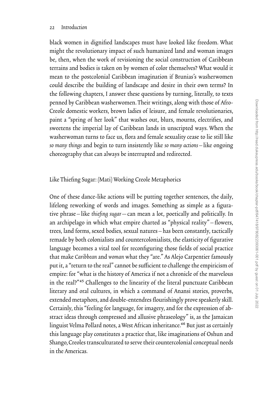black women in dignified landscapes must have looked like freedom. What might the revolutionary impact of such humanized land and woman images be, then, when the work of revisioning the social construction of Caribbean terrains and bodies is taken on by women of color themselves? What would it mean to the postcolonial Caribbean imagination if Brunias's washerwomen could describe the building of landscape and desire in their own terms? In the following chapters, I answer these questions by turning, literally, to texts penned by Caribbean washerwomen. Their writings, along with those of Afro-Creole domestic workers, brown ladies of leisure, and female revolutionaries, paint a "spring of her look" that washes out, blurs, mourns, electrifies, and sweetens the imperial lay of Caribbean lands in unscripted ways. When the washerwoman turns to face us, flora and female sexuality cease to lie still like *so many things* and begin to turn insistently like *so many actions*—like ongoing choreography that can always be interrupted and redirected.

## Like Thiefing Sugar: (Mati) Working Creole Metaphorics

One of these dance-like actions will be putting together sentences, the daily, lifelong reworking of words and images. Something as simple as a figurative phrase—like *thiefing sugar—*can mean a lot, poetically and politically. In an archipelago in which what empire charted as "physical reality"—flowers, trees, land forms, sexed bodies, sexual natures—has been constantly, tactically remade by both colonialists and countercolonialists, the elasticity of figurative language becomes a vital tool for reconfiguring those fields of social practice that make *Caribbean* and *woman* what they "are." As Alejo Carpentier famously put it, a "return to the real" cannot be sufficient to challenge the empiricism of empire: for "what is the history of America if not a chronicle of the marvelous in the real?"45 Challenges to the linearity of the literal punctuate Caribbean literary and oral cultures, in which a command of Anansi stories, proverbs, extended metaphors, and double-entendres flourishingly prove speakerly skill. Certainly, this "feeling for language, for imagery, and for the expression of abstract ideas through compressed and allusive phraseology" is, as the Jamaican linguist Velma Pollard notes, a West African inheritance.<sup>46</sup> But just as certainly this language play constitutes a practice that, like imaginations of Oshun and Shango, Creoles transculturated to serve their countercolonial conceptual needs in the Americas.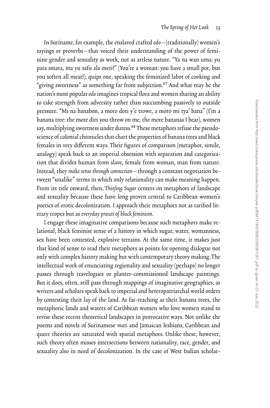In Suriname, for example, the enslaved crafted *odo*—(traditionally) women's sayings or proverbs—that voiced their understanding of the power of feminine gender and sexuality as work, not as artless nature. "Ya na wan uma: yu pata smara, ma yu safu ala meti!" (You're a woman: you have a small pot, but you soften all meat!), quips one, speaking the feminized labor of cooking and "giving sweetness" as something far from subjection.<sup>47</sup> And what may be the nation's most popular *odo* imagines tropical flora and women sharing an ability to take strength from adversity rather than succumbing passively to outside pressure. "Mi na banabon, a moro doti y'e trowe, a moro mi tya' bana" (I'm a banana tree: the more dirt you throw on me, the more bananas I bear), women say, multiplying sweetness under duress.<sup>48</sup> These metaphors refuse the pseudoscience of colonial chronicles that chart the properties of banana trees and black females in very different ways. Their figures of comparison (metaphor, simile, analogy) speak back to an imperial obsession with separation and categorization that divides human from slave, female from woman, man from nature. Instead, they *make sense through connection*—through a constant negotiation between "unalike" terms in which only relationality can make meaning happen. From its title onward, then, *Thiefing Sugar* centers on metaphors of landscape and sexuality because these have long proven central to Caribbean women's poetics of erotic decolonization. I approach their metaphors not as rarified literary tropes but as *everyday praxes of black feminism*.

I engage these imaginative comparisons because such metaphors make relational, black feminist sense of a history in which sugar, water, womanness, sex have been contested, explosive terrains. At the same time, it makes just that kind of sense to read their metaphors as points for opening dialogue not only with complex history making but with contemporary theory making. The intellectual work of enunciating regionality and sexuality (perhaps) no longer passes through travelogues or planter-commissioned landscape paintings. But it does, often, still pass through mappings of imaginative geographies, as writers and scholars speak back to imperial and heteropatriarchal world orders by contesting their lay of the land. As far-reaching as their banana trees, the metaphoric lands and waters of Caribbean women who love women stand to revise these recent theoretical landscapes in provocative ways. Not unlike the poems and novels of Surinamese *mati* and Jamaican lesbians, Caribbean and queer theories are saturated with spatial metaphors. Unlike these, however, such theory often misses intersections between nationality, race, gender, and sexuality also in need of decolonization. In the case of West Indian scholar-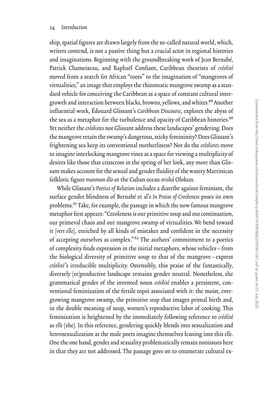ship, spatial figures are drawn largely from the so-called natural world, which, writers contend, is not a passive thing but a crucial actor in regional histories and imaginations. Beginning with the groundbreaking work of Jean Bernabé, Patrick Chamoiseau, and Raphaël Confiant, Caribbean theorists of *créolité* moved from a search for African "roots" to the imagination of "mangroves of virtualities," an image that employs the rhizomatic mangrove swamp as a standard vehicle for conceiving the Caribbean as a space of constant cultural intergrowth and interaction between blacks, browns, yellows, and whites.49 Another influential work, Édouard Glissant's *Caribbean Discourse*, explores the abyss of the sea as a metaphor for the turbulence and opacity of Caribbean histories.<sup>50</sup> Yet neither the *créolistes* nor Glissant address these landscapes' gendering. Does the mangrove retain the swamp's dangerous, sticky femininity? Does Glissant's frightening sea keep its conventional motherliness? Nor do the *créolistes* move to imagine interlocking mangrove vines as a space for viewing a multiplicity of desires like those that crisscross in the spring of her look, any more than Glissant makes account for the sexual and gender fluidity of the watery Martinican folkloric figure *manman dlo* or the Cuban ocean *orishá* Olokun.

While Glissant's *Poetics of Relation* includes a diatribe against feminism, the surface gender blindness of Bernabé et al's *In Praise of Creoleness* poses its own problems.51 Take, for example, the passage in which the now famous mangrove metaphor first appears: "Creoleness is our primitive soup and our continuation, our primeval chaos and our mangrove swamp of virtualities. We bend toward it [*vers elle*], enriched by all kinds of mistakes and confident in the necessity of accepting ourselves as complex."52 The authors' commitment to a poetics of complexity finds expression in the initial metaphors, whose vehicles—from the biological diversity of primitive soup to that of the mangrove—express *créolité*'s irreducible multiplicity. Ostensibly, this praise of the fantastically, diversely (re)productive landscape remains gender neutral. Nonetheless, the grammatical gender of the invented noun *créolité* enables a persistent, conventional feminization of the fertile topoi associated with it: the moist, evergrowing mangrove swamp, the primitive *soup* that images primal birth and, in the double meaning of soup, women's reproductive labor of cooking. This feminization is heightened by the immediately following reference to *créolité* as *elle* (she). In this reference, gendering quickly blends into sexualization and *hetero*sexualization as the male poets imagine themselves leaning into this *elle*. One the one hand, gender and sexuality problematically remain nonissues here in that they are not addressed. The passage goes on to enumerate cultural ex-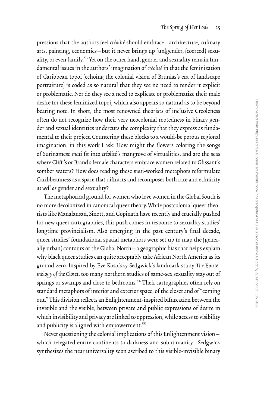pressions that the authors feel *créolité* should embrace—architecture, culinary arts, painting, economics—but it never brings up (un)gender, (coerced) sexuality, or even family.<sup>53</sup> Yet on the other hand, gender and sexuality remain fundamental issues in the authors' imagination of *créolité* in that the feminization of Caribbean topoi (echoing the colonial vision of Brunias's era of landscape portraiture) is coded as so natural that they see no need to render it explicit or problematic. Nor do they see a need to explicate or problematize their male desire for these feminized topoi, which also appears so natural as to be beyond bearing note. In short, the most renowned theorists of inclusive Creoleness often do not recognize how their very neocolonial rootedness in binary gender and sexual identities undercuts the complexity that they express as fundamental to their project. Countering these blocks to a would-be porous regional imagination, in this work I ask: How might the flowers coloring the songs of Surinamese *mati* fit into *créolité*'s mangrove of virtualities, and are the seas where Cliff 's or Brand's female characters embrace women related to Glissant's somber waters? How does reading these *mati*-worked metaphors reformulate Caribbeanness as a space that diffracts and recomposes both race and ethnicity *as well as* gender and sexuality?

The metaphorical ground for women who love women in the Global South is no more decolonized in canonical queer theory. While postcolonial queer theorists like Manalansan, Sinott, and Gopinath have recently and crucially pushed for new queer cartographies, this push comes in response to sexuality studies' longtime provincialism. Also emerging in the past century's final decade, queer studies' foundational spatial metaphors were set up to map the (generally urban) contours of the Global North—a geographic bias that helps explain why black queer studies can quite acceptably take African North America as its ground zero. Inspired by Eve Kosofsky Sedgwick's landmark study *The Epistemology of the Closet*, too many northern studies of same-sex sexuality stay out of springs or swamps and close to bedrooms.<sup>54</sup> Their cartographies often rely on standard metaphors of interior and exterior space, of the closet and of "coming out." This division reflects an Enlightenment-inspired bifurcation between the invisible and the visible, between private and public expressions of desire in which invisibility and privacy are linked to oppression, while access to visibility and publicity is aligned with empowerment.<sup>55</sup>

Never questioning the colonial implications of this Enlightenment vision which relegated entire continents to darkness and subhumanity—Sedgwick synthesizes the near universality soon ascribed to this visible-invisible binary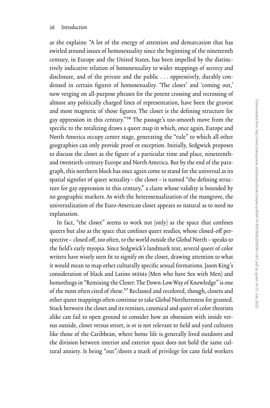as she explains: "A lot of the energy of attention and demarcation that has swirled around issues of homosexuality since the beginning of the nineteenth century, in Europe and the United States, has been impelled by the distinctively indicative relation of homosexuality to wider mappings of secrecy and disclosure, and of the private and the public . . . oppressively, durably condensed in certain figures of homosexuality. 'The closet' and 'coming out,' now verging on all-purpose phrases for the potent crossing and recrossing of almost any politically charged lines of representation, have been the gravest and most magnetic of those figures. The closet is the defining structure for gay oppression in this century."56 The passage's too-smooth move from the specific to the totalizing draws a queer map in which, once again, Europe and North America occupy center stage, generating the "rule" to which all other geographies can only provide proof or exception. Initially, Sedgwick proposes to discuss the closet as the figure of a particular time and place, nineteenthand twentieth-century Europe and North America. But by the end of the paragraph, this northern block has once again come to stand for the universal as its spatial signifier of queer sexuality—the closet—is named "the defining structure for gay oppression in this century," a claim whose validity is bounded by no geographic markers. As with the heterosexualization of the mangrove, the universalization of the Euro-American closet appears so natural as to need no explanation.

In fact, "the closet" seems to work not (only) as the space that confines queers but also as the space that confines queer studies, whose closed-off perspective—closed off, too often, to the world *out*side the Global North—speaks to the field's early myopia. Since Sedgwick's landmark text, several queer of color writers have wisely seen fit to signify on the closet, drawing attention to what it would mean to map other culturally specific sexual formations. Jason King's consideration of black and Latino MSMs (Men who have Sex with Men) and homothugs in "Remixing the Closet: The Down-Low Way of Knowledge" is one of the most often cited of these.<sup>57</sup> Reclassed and recolored, though, closets and other queer mappings often continue to take Global Northernness for granted. Stuck between the closet and its remixes, canonical and queer of color theorists alike can fail to open ground to consider how an obsession with inside versus outside, closet versus street, is or is not relevant to field and yard cultures like those of the Caribbean, where home life is generally lived outdoors and the division between interior and exterior space does not hold the same cultural anxiety. Is being "out"/doors a mark of privilege for cane field workers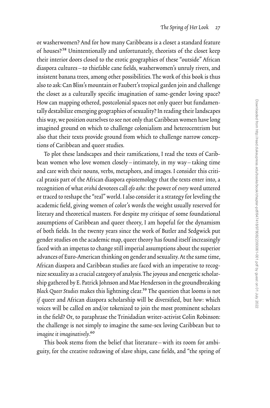or washerwomen? And for how many Caribbeans is a closet a standard feature of houses?58 Unintentionally and unfortunately, theorists of the closet keep their interior doors closed to the erotic geographies of these "outside" African diaspora cultures—to thiefable cane fields, washerwomen's unruly rivers, and insistent banana trees, among other possibilities. The work of this book is thus also to ask: Can Bliss's mountain or Faubert's tropical garden join and challenge the closet as a culturally specific imagination of same-gender loving space? How can mapping othered, postcolonial spaces not only queer but fundamentally destabilize emerging geographies of sexuality? In reading their landscapes this way, we position ourselves to see not only that Caribbean women have long imagined ground on which to challenge colonialism and heterocentrism but also that their texts provide ground from which to challenge narrow conceptions of Caribbean and queer studies.

To plot these landscapes and their ramifications, I read the texts of Caribbean women who love women closely—intimately, in my way—taking time and care with their nouns, verbs, metaphors, and images. I consider this critical praxis part of the African diaspora epistemology that the texts enter into, a recognition of what *orishá* devotees call *ofo ashe*: the power of *every* word uttered or traced to reshape the "real" world. I also consider it a strategy for leveling the academic field, giving women of color's words the weight usually reserved for literary and theoretical masters. For despite my critique of some foundational assumptions of Caribbean and queer theory, I am hopeful for the dynamism of both fields. In the twenty years since the work of Butler and Sedgwick put gender studies on the academic map, queer theory has found itself increasingly faced with an impetus to change still imperial assumptions about the superior advances of Euro-American thinking on gender and sexuality. At the same time, African diaspora and Caribbean studies are faced with an imperative to recognize sexuality as a crucial category of analysis. The joyous and energetic scholarship gathered by E. Patrick Johnson and Mae Henderson in the groundbreaking *Black Queer Studies* makes this lightning clear.59 The question that looms is not *if* queer and African diaspora scholarship will be diversified, but *how*: which voices will be called on and/or tokenized to join the most prominent scholars in the field? Or, to paraphrase the Trinidadian writer-activist Colin Robinson: the challenge is not simply to imagine the same-sex loving Caribbean but to *imagine it imaginatively*.60

This book stems from the belief that literature—with its room for ambiguity, for the creative redrawing of slave ships, cane fields, and "the spring of